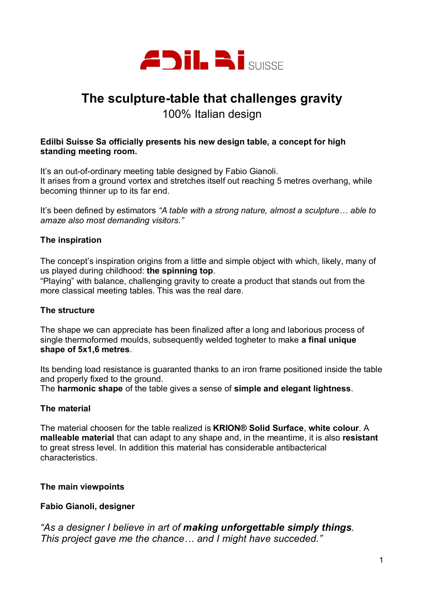

# **The sculpture-table that challenges gravity**

100% Italian design

#### **Edilbi Suisse Sa officially presents his new design table, a concept for high standing meeting room.**

It's an out-of-ordinary meeting table designed by Fabio Gianoli. It arises from a ground vortex and stretches itself out reaching 5 metres overhang, while becoming thinner up to its far end.

It's been defined by estimators *"A table with a strong nature, almost a sculpture… able to amaze also most demanding visitors."*

# **The inspiration**

The concept's inspiration origins from a little and simple object with which, likely, many of us played during childhood: **the spinning top**.

"Playing" with balance, challenging gravity to create a product that stands out from the more classical meeting tables. This was the real dare.

# **The structure**

The shape we can appreciate has been finalized after a long and laborious process of single thermoformed moulds, subsequently welded togheter to make **a final unique shape of 5x1,6 metres**.

Its bending load resistance is guaranted thanks to an iron frame positioned inside the table and properly fixed to the ground.

The **harmonic shape** of the table gives a sense of **simple and elegant lightness**.

# **The material**

The material choosen for the table realized is **KRION® Solid Surface**, **white colour**. A **malleable material** that can adapt to any shape and, in the meantime, it is also **resistant** to great stress level. In addition this material has considerable antibacterical characteristics.

# **The main viewpoints**

# **Fabio Gianoli, designer**

*"As a designer I believe in art of making unforgettable simply things. This project gave me the chance… and I might have succeded."*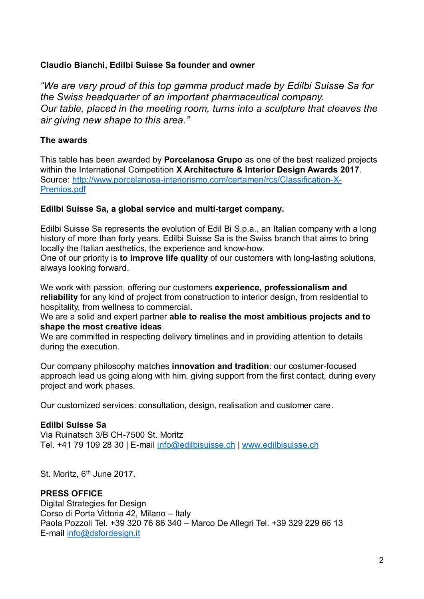# **Claudio Bianchi, Edilbi Suisse Sa founder and owner**

*"We are very proud of this top gamma product made by Edilbi Suisse Sa for the Swiss headquarter of an important pharmaceutical company. Our table, placed in the meeting room, turns into a sculpture that cleaves the air giving new shape to this area."*

# **The awards**

This table has been awarded by **Porcelanosa Grupo** as one of the best realized projects within the International Competition **X Architecture & Interior Design Awards 2017**. Source: http://www.porcelanosa-interiorismo.com/certamen/rcs/Classification-X-Premios.pdf

# **Edilbi Suisse Sa, a global service and multi-target company.**

Edilbi Suisse Sa represents the evolution of Edil Bi S.p.a., an Italian company with a long history of more than forty years. Edilbi Suisse Sa is the Swiss branch that aims to bring locally the Italian aesthetics, the experience and know-how.

One of our priority is **to improve life quality** of our customers with long-lasting solutions, always looking forward.

We work with passion, offering our customers **experience, professionalism and reliability** for any kind of project from construction to interior design, from residential to hospitality, from wellness to commercial.

We are a solid and expert partner **able to realise the most ambitious projects and to shape the most creative ideas**.

We are committed in respecting delivery timelines and in providing attention to details during the execution.

Our company philosophy matches **innovation and tradition**: our costumer-focused approach lead us going along with him, giving support from the first contact, during every project and work phases.

Our customized services: consultation, design, realisation and customer care.

# **Edilbi Suisse Sa**

Via Ruinatsch 3/B CH-7500 St. Moritz Tel. +41 79 109 28 30 | E-mail info@edilbisuisse.ch | www.edilbisuisse.ch

St. Moritz,  $6<sup>th</sup>$  June 2017.

#### **PRESS OFFICE**

Digital Strategies for Design Corso di Porta Vittoria 42, Milano – Italy Paola Pozzoli Tel. +39 320 76 86 340 – Marco De Allegri Tel. +39 329 229 66 13 E-mail info@dsfordesign.it